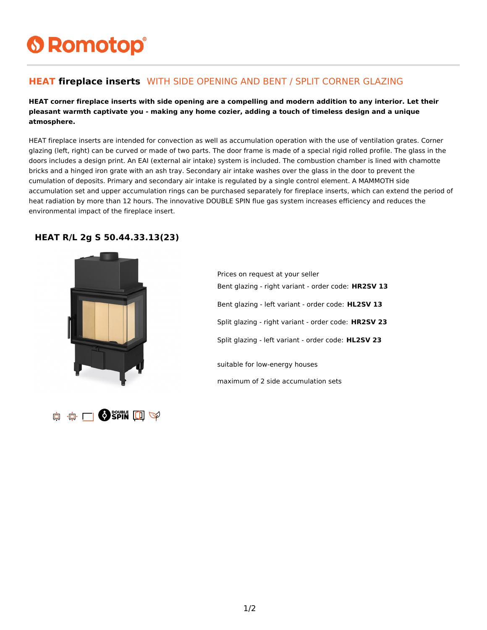# **6 Romotop®**

### **HEAT fireplace inserts** WITH SIDE OPENING AND BENT / SPLIT CORNER GLAZING

#### **HEAT corner fireplace inserts with side opening are a compelling and modern addition to any interior. Let their pleasant warmth captivate you - making any home cozier, adding a touch of timeless design and a unique atmosphere.**

HEAT fireplace inserts are intended for convection as well as accumulation operation with the use of ventilation grates. Corner glazing (left, right) can be curved or made of two parts. The door frame is made of a special rigid rolled profile. The glass in the doors includes a design print. An EAI (external air intake) system is included. The combustion chamber is lined with chamotte bricks and a hinged iron grate with an ash tray. Secondary air intake washes over the glass in the door to prevent the cumulation of deposits. Primary and secondary air intake is regulated by a single control element. A MAMMOTH side accumulation set and upper accumulation rings can be purchased separately for fireplace inserts, which can extend the period of heat radiation by more than 12 hours. The innovative DOUBLE SPIN flue gas system increases efficiency and reduces the environmental impact of the fireplace insert.

#### **HEAT R/L 2g S 50.44.33.13(23)**



**O SPIN LI SP** 真 真 口

Prices on request at your seller Bent glazing - right variant - order code: **HR2SV 13** Bent glazing - left variant - order code: **HL2SV 13** Split glazing - right variant - order code: **HR2SV 23** Split glazing - left variant - order code: **HL2SV 23** suitable for low-energy houses maximum of 2 side accumulation sets